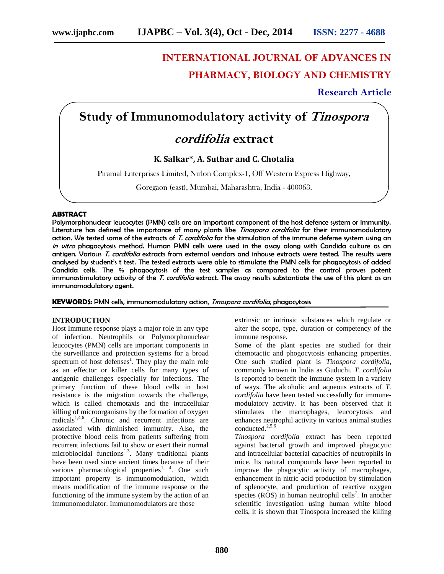# **INTERNATIONAL JOURNAL OF ADVANCES IN PHARMACY, BIOLOGY AND CHEMISTRY**

**Research Article**

## **Study of Immunomodulatory activity of** *Tinospora*

### *cordifolia* **extract**

**K. Salkar\*, A. Suthar and C. Chotalia**

Piramal Enterprises Limited, Nirlon Complex-1, Off Western Express Highway,

Goregaon (east), Mumbai, Maharashtra, India - 400063.

#### **ABSTRACT**

Polymorphonuclear leucocytes (PMN) cells are an important component of the host defence system or immunity. Literature has defined the importance of many plants like *Tinospora cordifolia* for their immunomodulatory action. We tested some of the extracts of *T. cordifolia* for the stimulation of the immune defense system using an *in vitro* phagocytosis method. Human PMN cells were used in the assay along with Candida culture as an antigen. Various *T. cordifolia* extracts from external vendors and inhouse extracts were tested. The results were analysed by student's t test. The tested extracts were able to stimulate the PMN cells for phagocytosis of added Candida cells. The % phagocytosis of the test samples as compared to the control proves potent immunostimulatory activity of the *T. cordifolia* extract. The assay results substantiate the use of this plant as an immunomodulatory agent.

**KEYWORDS:** PMN cells, immunomodulatory action, *Tinospora cordifolia*, phagocytosis

#### **INTRODUCTION**

Host Immune response plays a major role in any type of infection. Neutrophils or Polymorphonuclear leucocytes (PMN) cells are important components in the surveillance and protection systems for a broad spectrum of host defenses<sup>1</sup>. They play the main role as an effector or killer cells for many types of antigenic challenges especially for infections. The primary function of these blood cells in host resistance is the migration towards the challenge, which is called chemotaxis and the intracellular killing of microorganisms by the formation of oxygen radicals<sup>1,4,6</sup>. Chronic and recurrent infections are associated with diminished immunity. Also, the protective blood cells from patients suffering from recurrent infections fail to show or exert their normal microbiocidal functions<sup>1,3</sup>. Many traditional plants have been used since ancient times because of their various pharmacological properties<sup>1, 4</sup>. One such important property is immunomodulation, which means modification of the immune response or the functioning of the immune system by the action of an immunomodulator. Immunomodulators are those

extrinsic or intrinsic substances which regulate or alter the scope, type, duration or competency of the immune response.

Some of the plant species are studied for their chemotactic and phogocytosis enhancing properties. One such studied plant is *Tinospora cordifolia*, commonly known in India as Guduchi. *T. cordifolia* is reported to benefit the immune system in a variety of ways. The alcoholic and aqueous extracts of *T. cordifolia* have been tested successfully for immune modulatory activity. It has been observed that it stimulates the macrophages, leucocytosis and enhances neutrophil activity in various animal studies conducted.<sup>2,5,6</sup>

*Tinospora cordifolia* extract has been reported against bacterial growth and improved phagocytic and intracellular bacterial capacities of neutrophils in mice. Its natural compounds have been reported to improve the phagocytic activity of macrophages, enhancement in nitric acid production by stimulation of splenocyte, and production of reactive oxygen species (ROS) in human neutrophil cells<sup>7</sup>. In another scientific investigation using human white blood cells, it is shown that Tinospora increased the killing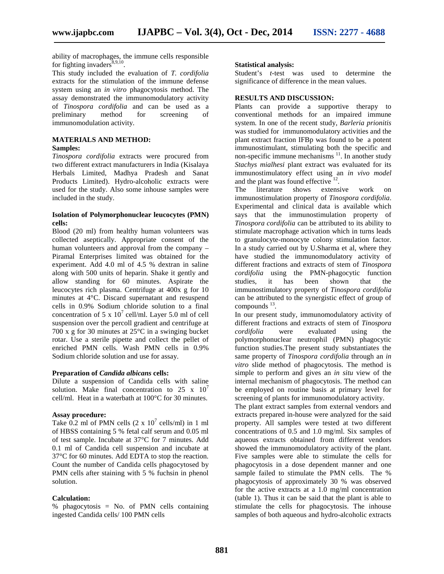ability of macrophages, the immune cells responsible for fighting invaders $8,9,10$ .

This study included the evaluation of *T. cordifolia* extracts for the stimulation of the immune defense system using an *in vitro* phagocytosis method. The assay demonstrated the immunomodulatory activity of *Tinospora cordifolia* and can be used as a preliminary method for screening of immunomodulation activity.

#### **MATERIALS AND METHOD: Samples:**

*Tinospora cordifolia* extracts were procured from two different extract manufacturers in India (Kisalaya Herbals Limited, Madhya Pradesh and Sanat Products Limited). Hydro-alcoholic extracts were used for the study. Also some inhouse samples were included in the study.

#### **Isolation of Polymorphonuclear leucocytes (PMN) cells:**

Blood (20 ml) from healthy human volunteers was collected aseptically. Appropriate consent of the human volunteers and approval from the company – Piramal Enterprises limited was obtained for the experiment. Add 4.0 ml of 4.5 % dextran in saline along with 500 units of heparin. Shake it gently and allow standing for 60 minutes. Aspirate the leucocytes rich plasma. Centrifuge at 400x g for 10 minutes at 4°C. Discard supernatant and resuspend cells in 0.9% Sodium chloride solution to a final concentration of 5 x  $10^7$  cell/ml. Layer 5.0 ml of cell suspension over the percoll gradient and centrifuge at 700 x g for 30 minutes at 25°C in a swinging bucket rotar. Use a sterile pipette and collect the pellet of enriched PMN cells. Wash PMN cells in 0.9% Sodium chloride solution and use for assay.

#### **Preparation of** *Candida albicans* **cells:**

Dilute a suspension of Candida cells with saline solution. Make final concentration to 25 x  $10^7$ cell/ml. Heat in a waterbath at 100°C for 30 minutes.

#### **Assay procedure:**

Take 0.2 ml of PMN cells  $(2 \times 10^7 \text{ cells/ml})$  in 1 ml of HBSS containing 5 % fetal calf serum and 0.05 ml of test sample. Incubate at 37°C for 7 minutes. Add 0.1 ml of Candida cell suspension and incubate at 37°C for 60 minutes. Add EDTA to stop the reaction. Count the number of Candida cells phagocytosed by PMN cells after staining with 5 % fuchsin in phenol solution.

#### **Calculation:**

% phagocytosis = No. of PMN cells containing ingested Candida cells/ 100 PMN cells

#### **Statistical analysis:**

Student's *t-*test was used to determine the significance of difference in the mean values.

#### **RESULTS AND DISCUSSION:**

Plants can provide a supportive therapy to conventional methods for an impaired immune system. In one of the recent study, *Barleria prionitis* was studied for immunomodulatory activities and the plant extract fraction IFBp was found to be a potent immunostimulant, stimulating both the specific and non-specific immune mechanisms  $\frac{11}{1}$ . In another study *Stachys mialhesi* plant extract was evaluated for its immunostimulatory effect using an *in vivo model* and the plant was found effective  $12$ .

The literature shows extensive work on immunostimulation property of *Tinospora cordifolia*. Experimental and clinical data is available which says that the immunostimulation property of *Tinospora cordifolia* can be attributed to its ability to stimulate macrophage activation which in turns leads to granulocyte-monocyte colony stimulation factor. In a study carried out by U.Sharma et al, where they have studied the immunomodulatory activity of different fractions and extracts of stem of *Tinospora cordifolia* using the PMN-phagocytic function studies, it has been shown that the immunostimulatory property of *Tinospora cordifolia* can be attributed to the synergistic effect of group of  $compounds<sup>13</sup>$ .

In our present study, immunomodulatory activity of different fractions and extracts of stem of *Tinospora cordifolia* were evaluated using the polymorphonuclear neutrophil (PMN) phagocytic function studies.The present study substantiates the same property of *Tinospora cordifolia* through an *in vitro* slide method of phagocytosis. The method is simple to perform and gives an *in situ* view of the internal mechanism of phagocytosis. The method can be employed on routine basis at primary level for screening of plants for immunomodulatory activity.

The plant extract samples from external vendors and extracts prepared in-house were analyzed for the said property. All samples were tested at two different concentrations of 0.5 and 1.0 mg/ml. Six samples of aqueous extracts obtained from different vendors showed the immunomodulatory activity of the plant. Five samples were able to stimulate the cells for phagocytosis in a dose dependent manner and one sample failed to stimulate the PMN cells. The % phagocytosis of approximately 30 % was observed for the active extracts at a 1.0 mg/ml concentration (table 1). Thus it can be said that the plant is able to stimulate the cells for phagocytosis. The inhouse samples of both aqueous and hydro-alcoholic extracts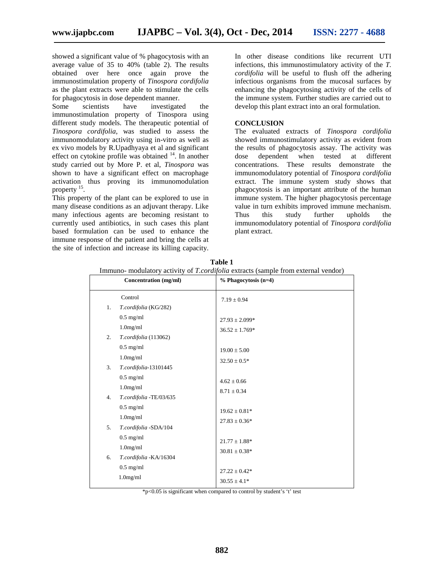showed a significant value of % phagocytosis with an average value of 35 to 40% (table 2). The results obtained over here once again prove the immunostimulation property of *Tinospora cordifolia* as the plant extracts were able to stimulate the cells for phagocytosis in dose dependent manner.

Some scientists have investigated the immunostimulation property of Tinospora using different study models. The therapeutic potential of *Tinospora cordifolia*, was studied to assess the immunomodulatory activity using in-vitro as well as ex vivo models by R.Upadhyaya et al and significant effect on cytokine profile was obtained  $14$ . In another study carried out by More P. et al, *Tinospora* was shown to have a significant effect on macrophage activation thus proving its immunomodulation property <sup>15</sup>.

This property of the plant can be explored to use in many disease conditions as an adjuvant therapy. Like many infectious agents are becoming resistant to currently used antibiotics, in such cases this plant based formulation can be used to enhance the immune response of the patient and bring the cells at the site of infection and increase its killing capacity.

In other disease conditions like recurrent UTI infections, this immunostimulatory activity of the *T. cordifolia* will be useful to flush off the adhering infectious organisms from the mucosal surfaces by enhancing the phagocytosing activity of the cells of the immune system. Further studies are carried out to develop this plant extract into an oral formulation.

#### **CONCLUSION**

The evaluated extracts of *Tinospora cordifolia* showed immunostimulatory activity as evident from the results of phagocytosis assay. The activity was dose dependent when tested at different concentrations. These results demonstrate the immunomodulatory potential of *Tinospora cordifolia* extract. The immune system study shows that phagocytosis is an important attribute of the human immune system. The higher phagocytosis percentage value in turn exhibits improved immune mechanism. this study further upholds the immunomodulatory potential of *Tinospora cordifolia* plant extract.

|    | <b>Concentration</b> (mg/ml)                          | % Phagocytosis (n=4)                     |
|----|-------------------------------------------------------|------------------------------------------|
| 1. | Control<br>T.cordifolia (KG/282)                      | $7.19 \pm 0.94$                          |
|    | $0.5$ mg/ml<br>$1.0$ mg/ml                            | $27.93 \pm 2.099*$<br>$36.52 \pm 1.769*$ |
| 2. | T.cordifolia (113062)<br>$0.5$ mg/ml                  | $19.00 \pm 5.00$                         |
| 3. | $1.0$ mg/ml<br>T.cordifolia-13101445                  | $32.50 \pm 0.5*$                         |
| 4. | $0.5$ mg/ml<br>$1.0$ mg/ml<br>T.cordifolia -TE/03/635 | $4.62 \pm 0.66$<br>$8.71 \pm 0.34$       |
|    | $0.5$ mg/ml<br>$1.0$ mg/ml                            | $19.62 \pm 0.81*$<br>$27.83 \pm 0.36^*$  |
| 5. | T.cordifolia -SDA/104<br>$0.5$ mg/ml                  | $21.77 \pm 1.88*$                        |
| 6. | $1.0$ mg/ml<br>T.cordifolia - KA/16304                | $30.81 \pm 0.38*$                        |
|    | $0.5$ mg/ml<br>$1.0$ mg/ml                            | $27.22 \pm 0.42*$<br>$30.55 \pm 4.1*$    |

**Table 1** Immuno- modulatory activity of *T.cordifolia* extracts (sample from external vendor)

 $*p<0.05$  is significant when compared to control by student's 't' test